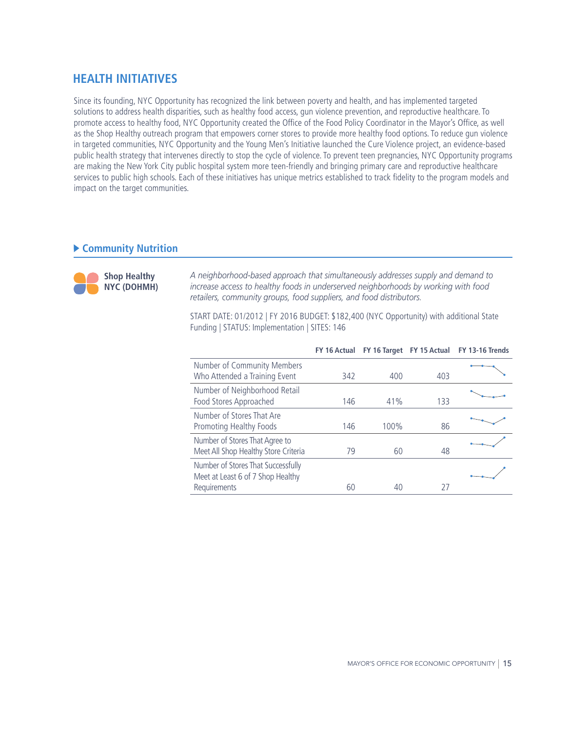# **HEALTH INITIATIVES**

Since its founding, NYC Opportunity has recognized the link between poverty and health, and has implemented targeted solutions to address health disparities, such as healthy food access, gun violence prevention, and reproductive healthcare. To promote access to healthy food, NYC Opportunity created the Office of the Food Policy Coordinator in the Mayor's Office, as well as the Shop Healthy outreach program that empowers corner stores to provide more healthy food options. To reduce gun violence in targeted communities, NYC Opportunity and the Young Men's Initiative launched the Cure Violence project, an evidence-based public health strategy that intervenes directly to stop the cycle of violence. To prevent teen pregnancies, NYC Opportunity programs are making the New York City public hospital system more teen-friendly and bringing primary care and reproductive healthcare services to public high schools. Each of these initiatives has unique metrics established to track fidelity to the program models and impact on the target communities.

## **Community Nutrition**



*A neighborhood-based approach that simultaneously addresses supply and demand to increase access to healthy foods in underserved neighborhoods by working with food retailers, community groups, food suppliers, and food distributors.*

START DATE: 01/2012 | FY 2016 BUDGET: \$182,400 (NYC Opportunity) with additional State Funding | STATUS: Implementation | SITES: 146

|                                                                                         |     |      |     | FY 16 Actual FY 16 Target FY 15 Actual FY 13-16 Trends |
|-----------------------------------------------------------------------------------------|-----|------|-----|--------------------------------------------------------|
| Number of Community Members<br>Who Attended a Training Event                            | 342 | 400  | 403 |                                                        |
| Number of Neighborhood Retail<br>Food Stores Approached                                 | 146 | 41%  | 133 |                                                        |
| Number of Stores That Are<br>Promoting Healthy Foods                                    | 146 | 100% | 86  |                                                        |
| Number of Stores That Agree to<br>Meet All Shop Healthy Store Criteria                  | 79  | 60   | 48  |                                                        |
| Number of Stores That Successfully<br>Meet at Least 6 of 7 Shop Healthy<br>Requirements | 60  | 40   | 27  |                                                        |
|                                                                                         |     |      |     |                                                        |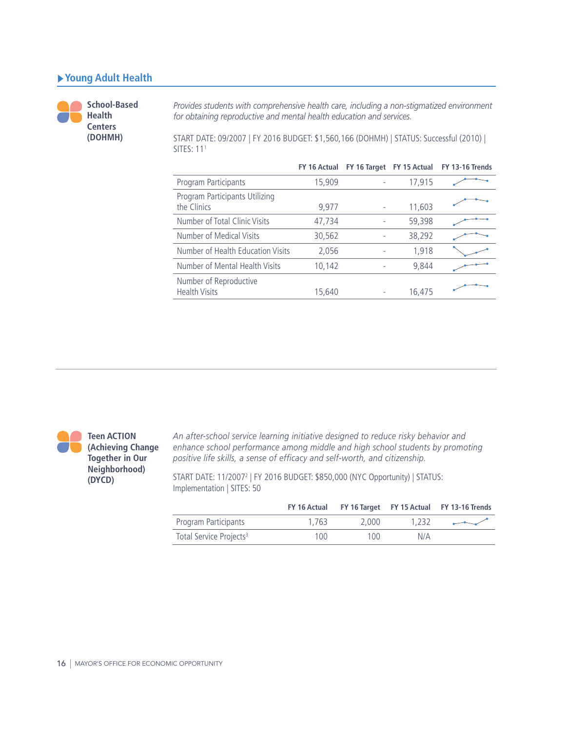### **Young Adult Health**

**School-Based Health Centers (DOHMH)**

*Provides students with comprehensive health care, including a non-stigmatized environment for obtaining reproductive and mental health education and services.*

START DATE: 09/2007 | FY 2016 BUDGET: \$1,560,166 (DOHMH) | STATUS: Successful (2010) | SITES: 111

|                                                |        |        | FY 16 Actual FY 16 Target FY 15 Actual FY 13-16 Trends |
|------------------------------------------------|--------|--------|--------------------------------------------------------|
| Program Participants                           | 15,909 | 17,915 |                                                        |
| Program Participants Utilizing<br>the Clinics  | 9,977  | 11,603 |                                                        |
| Number of Total Clinic Visits                  | 47,734 | 59,398 |                                                        |
| Number of Medical Visits                       | 30,562 | 38,292 |                                                        |
| Number of Health Education Visits              | 2,056  | 1,918  |                                                        |
| Number of Mental Health Visits                 | 10,142 | 9,844  |                                                        |
| Number of Reproductive<br><b>Health Visits</b> | 15,640 | 16,475 |                                                        |



*An after-school service learning initiative designed to reduce risky behavior and enhance school performance among middle and high school students by promoting positive life skills, a sense of efficacy and self-worth, and citizenship.* 

START DATE: 11/20072 | FY 2016 BUDGET: \$850,000 (NYC Opportunity) | STATUS: Implementation | SITES: 50

|                                     |       |       |       | FY 16 Actual FY 16 Target FY 15 Actual FY 13-16 Trends |
|-------------------------------------|-------|-------|-------|--------------------------------------------------------|
| Program Participants                | 1.763 | 2.000 | 1.232 |                                                        |
| Total Service Projects <sup>3</sup> | 100   | 100.  | N/A   |                                                        |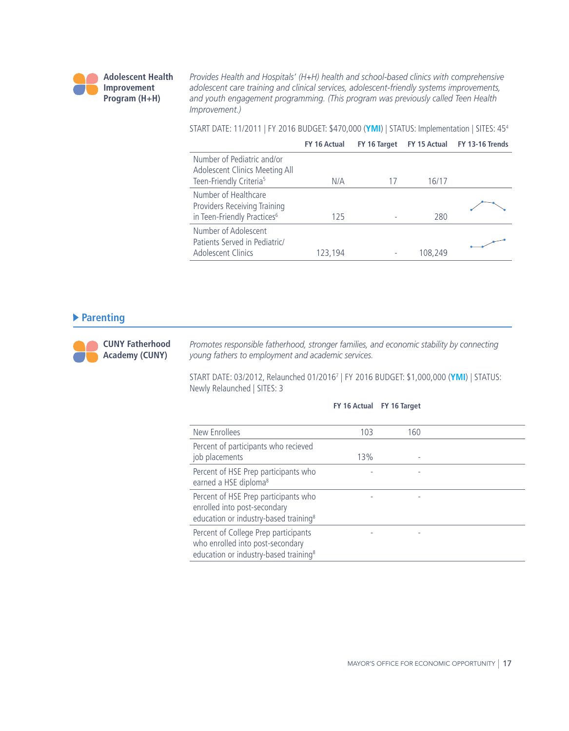

*Provides Health and Hospitals' (H+H) health and school-based clinics with comprehensive adolescent care training and clinical services, adolescent-friendly systems improvements, and youth engagement programming. (This program was previously called Teen Health Improvement.)*

START DATE: 11/2011 | FY 2016 BUDGET: \$470,000 (**YMI**) | STATUS: Implementation | SITES: 454

|                                                                                                     | FY 16 Actual | FY 16 Target | FY 15 Actual | FY 13-16 Trends |
|-----------------------------------------------------------------------------------------------------|--------------|--------------|--------------|-----------------|
| Number of Pediatric and/or<br>Adolescent Clinics Meeting All<br>Teen-Friendly Criteria <sup>5</sup> | N/A          |              | 16/17        |                 |
| Number of Healthcare<br>Providers Receiving Training<br>in Teen-Friendly Practices <sup>6</sup>     | 125          |              | 280          |                 |
| Number of Adolescent<br>Patients Served in Pediatric/<br>Adolescent Clinics                         | 123,194      |              | 108,249      |                 |

### **Parenting**

**CUNY Fatherhood Academy (CUNY)**

*Promotes responsible fatherhood, stronger families, and economic stability by connecting young fathers to employment and academic services.*

START DATE: 03/2012, Relaunched 01/20167 | FY 2016 BUDGET: \$1,000,000 (**YMI**) | STATUS: Newly Relaunched | SITES: 3

#### **FY 16 Actual FY 16 Target**

| New Enrollees                                                                                                                 | 103 | 160 |  |
|-------------------------------------------------------------------------------------------------------------------------------|-----|-----|--|
| Percent of participants who recieved<br>job placements                                                                        | 13% |     |  |
| Percent of HSE Prep participants who<br>earned a HSE diploma <sup>8</sup>                                                     |     |     |  |
| Percent of HSE Prep participants who<br>enrolled into post-secondary<br>education or industry-based training <sup>8</sup>     |     |     |  |
| Percent of College Prep participants<br>who enrolled into post-secondary<br>education or industry-based training <sup>8</sup> |     |     |  |